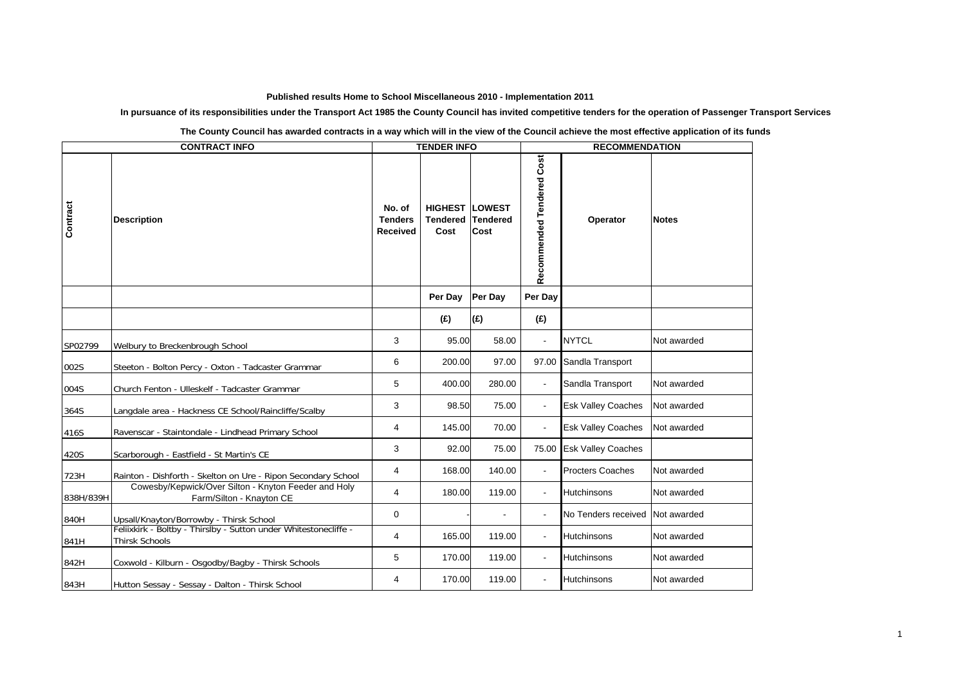## **Published results Home to School Miscellaneous 2010 - Implementation 2011**

**In pursuance of its responsibilities under the Transport Act 1985 the County Council has invited competitive tenders for the operation of Passenger Transport Services**

| <b>CONTRACT INFO</b> |                                                                                                             | <b>TENDER INFO</b>                          |                                           |                                          | <b>RECOMMENDATION</b>     |                           |              |  |
|----------------------|-------------------------------------------------------------------------------------------------------------|---------------------------------------------|-------------------------------------------|------------------------------------------|---------------------------|---------------------------|--------------|--|
| Contract             | <b>Description</b>                                                                                          | No. of<br><b>Tenders</b><br><b>Received</b> | <b>HIGHEST</b><br><b>Tendered</b><br>Cost | <b>LOWEST</b><br><b>Tendered</b><br>Cost | Recommended Tendered Cost | Operator                  | <b>Notes</b> |  |
|                      |                                                                                                             |                                             | Per Day                                   | Per Day                                  | Per Day                   |                           |              |  |
|                      |                                                                                                             |                                             | (E)                                       | (E)                                      | (E)                       |                           |              |  |
| SP02799              | Welbury to Breckenbrough School                                                                             | 3                                           | 95.00                                     | 58.00                                    | $\blacksquare$            | <b>NYTCL</b>              | Not awarded  |  |
| 002S                 | Steeton - Bolton Percy - Oxton - Tadcaster Grammar                                                          | 6                                           | 200.00                                    | 97.00                                    | 97.00                     | Sandla Transport          |              |  |
| 004S                 | Church Fenton - Ulleskelf - Tadcaster Grammar                                                               | 5                                           | 400.00                                    | 280.00                                   | $\overline{\phantom{a}}$  | Sandla Transport          | Not awarded  |  |
| 364S                 | Langdale area - Hackness CE School/Raincliffe/Scalby                                                        | 3                                           | 98.50                                     | 75.00                                    |                           | <b>Esk Valley Coaches</b> | Not awarded  |  |
| 416S                 | Ravenscar - Staintondale - Lindhead Primary School                                                          | $\overline{4}$                              | 145.00                                    | 70.00                                    | $\blacksquare$            | <b>Esk Valley Coaches</b> | Not awarded  |  |
| 420S                 | Scarborough - Eastfield - St Martin's CE                                                                    | 3                                           | 92.00                                     | 75.00                                    | 75.00                     | <b>Esk Valley Coaches</b> |              |  |
| 723H                 | Rainton - Dishforth - Skelton on Ure - Ripon Secondary School                                               | 4                                           | 168.00                                    | 140.00                                   |                           | <b>Procters Coaches</b>   | Not awarded  |  |
| 838H/839H            | Cowesby/Kepwick/Over Silton - Knyton Feeder and Holy<br>Farm/Silton - Knayton CE                            | $\overline{4}$                              | 180.00                                    | 119.00                                   | $\blacksquare$            | <b>Hutchinsons</b>        | Not awarded  |  |
| 840H                 | Upsall/Knayton/Borrowby - Thirsk School<br>Feliixkirk - Boltby - Thirslby - Sutton under Whitestonecliffe - | 0                                           |                                           |                                          |                           | No Tenders received       | Not awarded  |  |
| 841H                 | <b>Thirsk Schools</b>                                                                                       | 4                                           | 165.00                                    | 119.00                                   |                           | Hutchinsons               | Not awarded  |  |
| 842H                 | Coxwold - Kilburn - Osgodby/Bagby - Thirsk Schools                                                          | 5                                           | 170.00                                    | 119.00                                   |                           | Hutchinsons               | Not awarded  |  |
| 843H                 | Hutton Sessay - Sessay - Dalton - Thirsk School                                                             | 4                                           | 170.00                                    | 119.00                                   |                           | Hutchinsons               | Not awarded  |  |

**The County Council has awarded contracts in a way which will in the view of the Council achieve the most effective application of its funds**